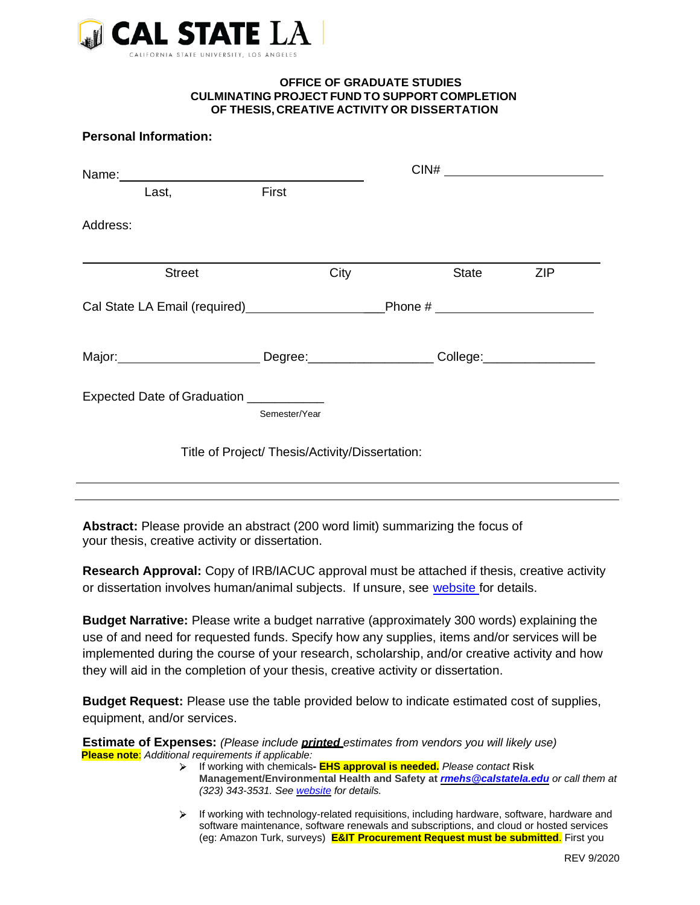

## **OFFICE OF GRADUATE STUDIES CULMINATING PROJECT FUND TO SUPPORT COMPLETION OF THESIS, CREATIVE ACTIVITY OR DISSERTATION**

## **Personal Information:**

| Last,                                                                                                          | First         |      |       |            |  |
|----------------------------------------------------------------------------------------------------------------|---------------|------|-------|------------|--|
| Address:                                                                                                       |               |      |       |            |  |
| <b>Street</b>                                                                                                  |               | City | State | <b>ZIP</b> |  |
|                                                                                                                |               |      |       |            |  |
| Major: Major: Major: Major: Major: Major: Major: Major: Major: Major: Major: Major: Major: Major: Major: Major |               |      |       |            |  |
| Expected Date of Graduation __________                                                                         | Semester/Year |      |       |            |  |
| Title of Project/ Thesis/Activity/Dissertation:                                                                |               |      |       |            |  |
|                                                                                                                |               |      |       |            |  |

**Abstract:** Please provide an abstract (200 word limit) summarizing the focus of your thesis, creative activity or dissertation.

**Research Approval:** Copy of IRB/IACUC approval must be attached if thesis, creative activity or dissertation involves human/animal subjects. If unsure, see [website f](http://www.calstatela.edu/academic/aa/orad/aboutorad.php)or details.

**Budget Narrative:** Please write a budget narrative (approximately 300 words) explaining the use of and need for requested funds. Specify how any supplies, items and/or services will be implemented during the course of your research, scholarship, and/or creative activity and how they will aid in the completion of your thesis, creative activity or dissertation.

**Budget Request:** Please use the table provided below to indicate estimated cost of supplies, equipment, and/or services.

**Estimate of Expenses:** *(Please include printed estimates from vendors you will likely use)* **Please note**: *Additional requirements if applicable:*

- If working with chemicals**- EHS approval is needed.** *Please contact* **Risk Management/Environmental Health and Safety at** *[rmehs@calstatela.edu](mailto:rmehs@calstatela.edu) or call them at (323) 343-3531. See [website](http://www.calstatela.edu/ehs) for details.*
- $\triangleright$  If working with technology-related requisitions, including hardware, software, hardware and software maintenance, software renewals and subscriptions, and cloud or hosted services (eg: Amazon Turk, surveys) **E&IT Procurement Request must be submitted**. First you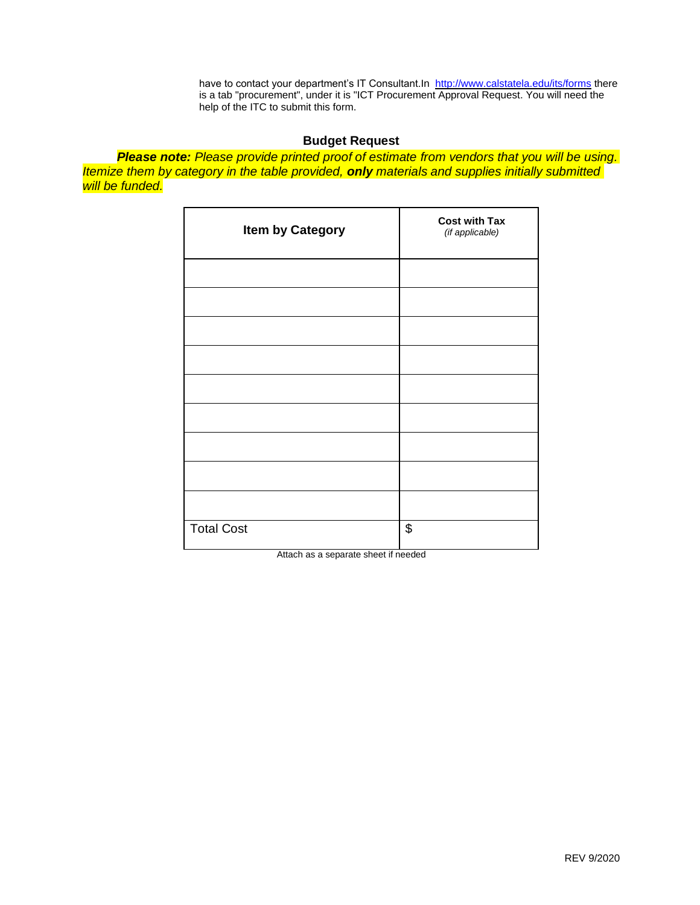have to contact your department's IT Consultant.In <http://www.calstatela.edu/its/forms> there is a tab "procurement", under it is "ICT Procurement Approval Request. You will need the help of the ITC to submit this form.

## **Budget Request**

*Please note: Please provide printed proof of estimate from vendors that you will be using. Itemize them by category in the table provided, only materials and supplies initially submitted will be funded.*

| <b>Item by Category</b> | <b>Cost with Tax</b><br>(if applicable) |
|-------------------------|-----------------------------------------|
|                         |                                         |
|                         |                                         |
|                         |                                         |
|                         |                                         |
|                         |                                         |
|                         |                                         |
|                         |                                         |
|                         |                                         |
|                         |                                         |
| <b>Total Cost</b>       | \$                                      |

Attach as a separate sheet if needed